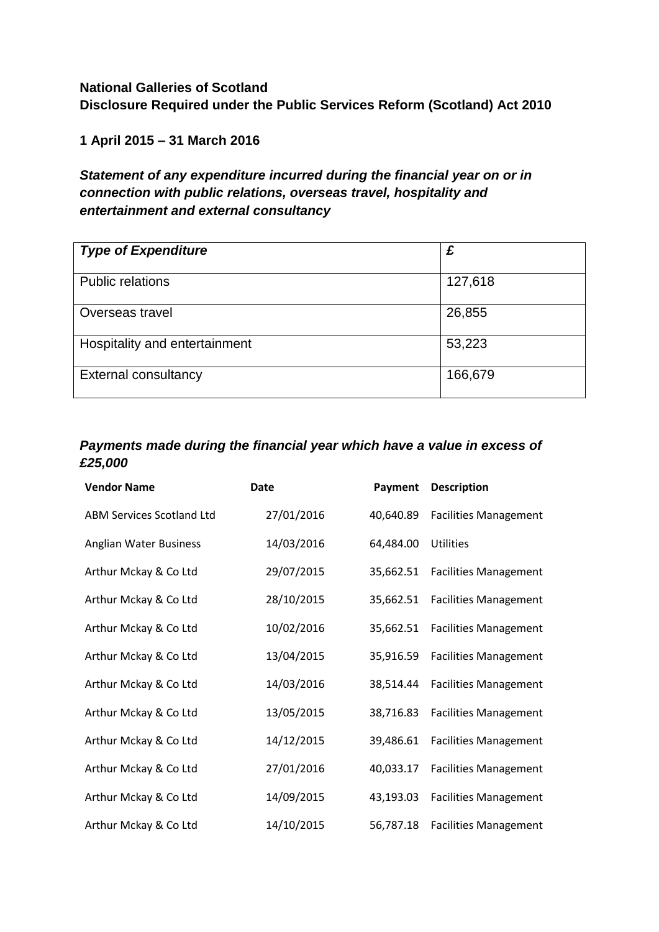## **National Galleries of Scotland Disclosure Required under the Public Services Reform (Scotland) Act 2010**

**1 April 2015 – 31 March 2016**

## *Statement of any expenditure incurred during the financial year on or in connection with public relations, overseas travel, hospitality and entertainment and external consultancy*

| <b>Type of Expenditure</b>    | £       |
|-------------------------------|---------|
| <b>Public relations</b>       | 127,618 |
| Overseas travel               | 26,855  |
| Hospitality and entertainment | 53,223  |
| <b>External consultancy</b>   | 166,679 |

## *Payments made during the financial year which have a value in excess of £25,000*

| <b>Vendor Name</b>               | <b>Date</b> | Payment   | <b>Description</b>           |
|----------------------------------|-------------|-----------|------------------------------|
| <b>ABM Services Scotland Ltd</b> | 27/01/2016  | 40,640.89 | <b>Facilities Management</b> |
| Anglian Water Business           | 14/03/2016  | 64,484.00 | <b>Utilities</b>             |
| Arthur Mckay & Co Ltd            | 29/07/2015  | 35,662.51 | <b>Facilities Management</b> |
| Arthur Mckay & Co Ltd            | 28/10/2015  | 35,662.51 | <b>Facilities Management</b> |
| Arthur Mckay & Co Ltd            | 10/02/2016  | 35,662.51 | <b>Facilities Management</b> |
| Arthur Mckay & Co Ltd            | 13/04/2015  | 35,916.59 | <b>Facilities Management</b> |
| Arthur Mckay & Co Ltd            | 14/03/2016  | 38.514.44 | <b>Facilities Management</b> |
| Arthur Mckay & Co Ltd            | 13/05/2015  | 38,716.83 | <b>Facilities Management</b> |
| Arthur Mckay & Co Ltd            | 14/12/2015  | 39,486.61 | <b>Facilities Management</b> |
| Arthur Mckay & Co Ltd            | 27/01/2016  | 40,033.17 | <b>Facilities Management</b> |
| Arthur Mckay & Co Ltd            | 14/09/2015  | 43,193.03 | <b>Facilities Management</b> |
| Arthur Mckay & Co Ltd            | 14/10/2015  | 56,787.18 | <b>Facilities Management</b> |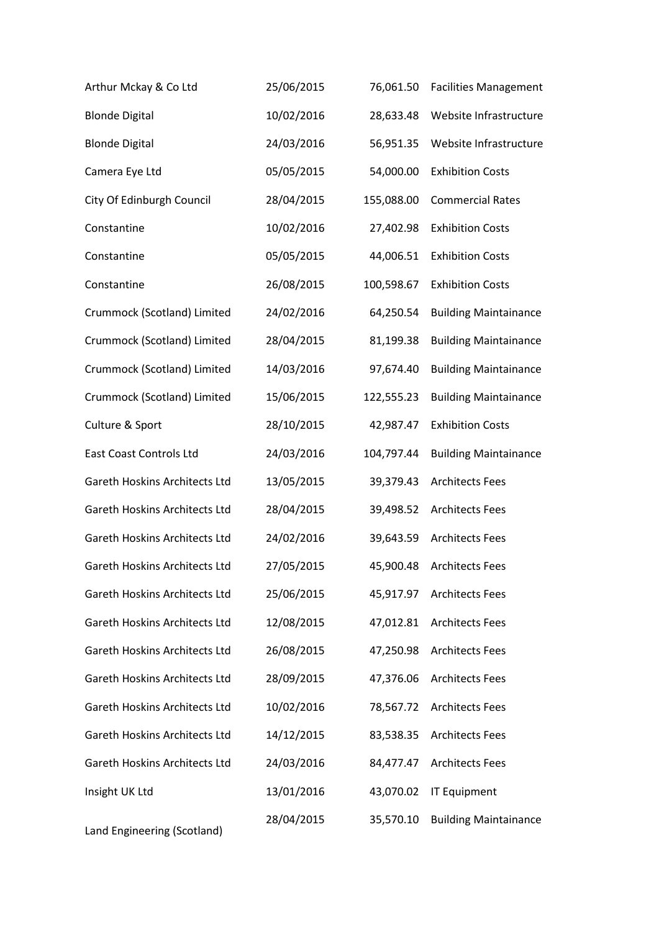| Arthur Mckay & Co Ltd                | 25/06/2015 | 76,061.50  | <b>Facilities Management</b> |
|--------------------------------------|------------|------------|------------------------------|
| <b>Blonde Digital</b>                | 10/02/2016 | 28,633.48  | Website Infrastructure       |
| <b>Blonde Digital</b>                | 24/03/2016 | 56,951.35  | Website Infrastructure       |
| Camera Eye Ltd                       | 05/05/2015 | 54,000.00  | <b>Exhibition Costs</b>      |
| City Of Edinburgh Council            | 28/04/2015 | 155,088.00 | <b>Commercial Rates</b>      |
| Constantine                          | 10/02/2016 | 27,402.98  | <b>Exhibition Costs</b>      |
| Constantine                          | 05/05/2015 | 44,006.51  | <b>Exhibition Costs</b>      |
| Constantine                          | 26/08/2015 | 100,598.67 | <b>Exhibition Costs</b>      |
| Crummock (Scotland) Limited          | 24/02/2016 | 64,250.54  | <b>Building Maintainance</b> |
| Crummock (Scotland) Limited          | 28/04/2015 | 81,199.38  | <b>Building Maintainance</b> |
| Crummock (Scotland) Limited          | 14/03/2016 | 97,674.40  | <b>Building Maintainance</b> |
| Crummock (Scotland) Limited          | 15/06/2015 | 122,555.23 | <b>Building Maintainance</b> |
| Culture & Sport                      | 28/10/2015 | 42,987.47  | <b>Exhibition Costs</b>      |
| East Coast Controls Ltd              | 24/03/2016 | 104,797.44 | <b>Building Maintainance</b> |
| Gareth Hoskins Architects Ltd        | 13/05/2015 | 39,379.43  | <b>Architects Fees</b>       |
| Gareth Hoskins Architects Ltd        | 28/04/2015 | 39,498.52  | <b>Architects Fees</b>       |
| <b>Gareth Hoskins Architects Ltd</b> | 24/02/2016 | 39,643.59  | <b>Architects Fees</b>       |
| <b>Gareth Hoskins Architects Ltd</b> | 27/05/2015 | 45,900.48  | <b>Architects Fees</b>       |
| Gareth Hoskins Architects Ltd        | 25/06/2015 | 45,917.97  | <b>Architects Fees</b>       |
| <b>Gareth Hoskins Architects Ltd</b> | 12/08/2015 | 47,012.81  | <b>Architects Fees</b>       |
| <b>Gareth Hoskins Architects Ltd</b> | 26/08/2015 | 47,250.98  | <b>Architects Fees</b>       |
| <b>Gareth Hoskins Architects Ltd</b> | 28/09/2015 | 47,376.06  | <b>Architects Fees</b>       |
| <b>Gareth Hoskins Architects Ltd</b> | 10/02/2016 | 78,567.72  | <b>Architects Fees</b>       |
| <b>Gareth Hoskins Architects Ltd</b> | 14/12/2015 | 83,538.35  | <b>Architects Fees</b>       |
| <b>Gareth Hoskins Architects Ltd</b> | 24/03/2016 | 84,477.47  | <b>Architects Fees</b>       |
| Insight UK Ltd                       | 13/01/2016 | 43,070.02  | <b>IT Equipment</b>          |
| Land Engineering (Scotland)          | 28/04/2015 | 35,570.10  | <b>Building Maintainance</b> |